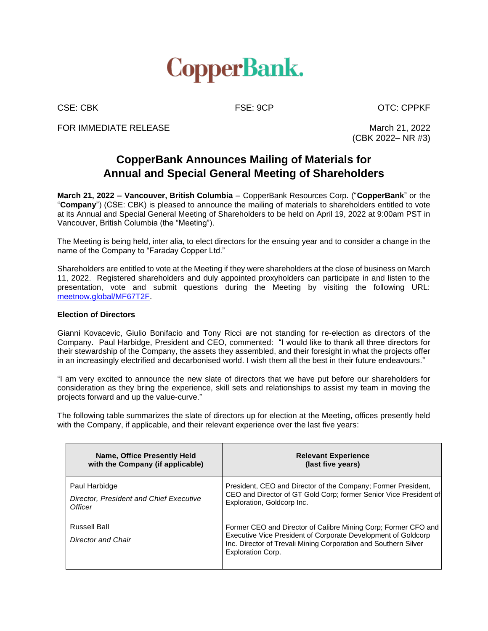

CSE: CBK FSE: 9CP CSE: CDPKF

FOR IMMEDIATE RELEASE March 21, 2022

(CBK 2022– NR #3)

## **CopperBank Announces Mailing of Materials for Annual and Special General Meeting of Shareholders**

**March 21, 2022 – Vancouver, British Columbia** – CopperBank Resources Corp. ("**CopperBank**" or the "**Company**") (CSE: CBK) is pleased to announce the mailing of materials to shareholders entitled to vote at its Annual and Special General Meeting of Shareholders to be held on April 19, 2022 at 9:00am PST in Vancouver, British Columbia (the "Meeting").

The Meeting is being held, inter alia, to elect directors for the ensuing year and to consider a change in the name of the Company to "Faraday Copper Ltd."

Shareholders are entitled to vote at the Meeting if they were shareholders at the close of business on March 11, 2022. Registered shareholders and duly appointed proxyholders can participate in and listen to the presentation, vote and submit questions during the Meeting by visiting the following URL: [meetnow.global/MF67T2F.](https://apps.computershare.com/MeetingsShareholderWeb/Home?Code=MF67T2F&Invitation=&Locale=en)

## **Election of Directors**

Gianni Kovacevic, Giulio Bonifacio and Tony Ricci are not standing for re-election as directors of the Company. Paul Harbidge, President and CEO, commented: "I would like to thank all three directors for their stewardship of the Company, the assets they assembled, and their foresight in what the projects offer in an increasingly electrified and decarbonised world. I wish them all the best in their future endeavours."

"I am very excited to announce the new slate of directors that we have put before our shareholders for consideration as they bring the experience, skill sets and relationships to assist my team in moving the projects forward and up the value-curve."

The following table summarizes the slate of directors up for election at the Meeting, offices presently held with the Company, if applicable, and their relevant experience over the last five years:

| Name, Office Presently Held<br>with the Company (if applicable) | <b>Relevant Experience</b><br>(last five years)                                                                                                                                                                                |
|-----------------------------------------------------------------|--------------------------------------------------------------------------------------------------------------------------------------------------------------------------------------------------------------------------------|
| Paul Harbidge                                                   | President, CEO and Director of the Company; Former President,<br>CEO and Director of GT Gold Corp; former Senior Vice President of<br>Exploration, Goldcorp Inc.                                                               |
| Director, President and Chief Executive<br>Officer              |                                                                                                                                                                                                                                |
| Russell Ball                                                    | Former CEO and Director of Calibre Mining Corp; Former CFO and<br>Executive Vice President of Corporate Development of Goldcorp<br>Inc. Director of Trevali Mining Corporation and Southern Silver<br><b>Exploration Corp.</b> |
| Director and Chair                                              |                                                                                                                                                                                                                                |